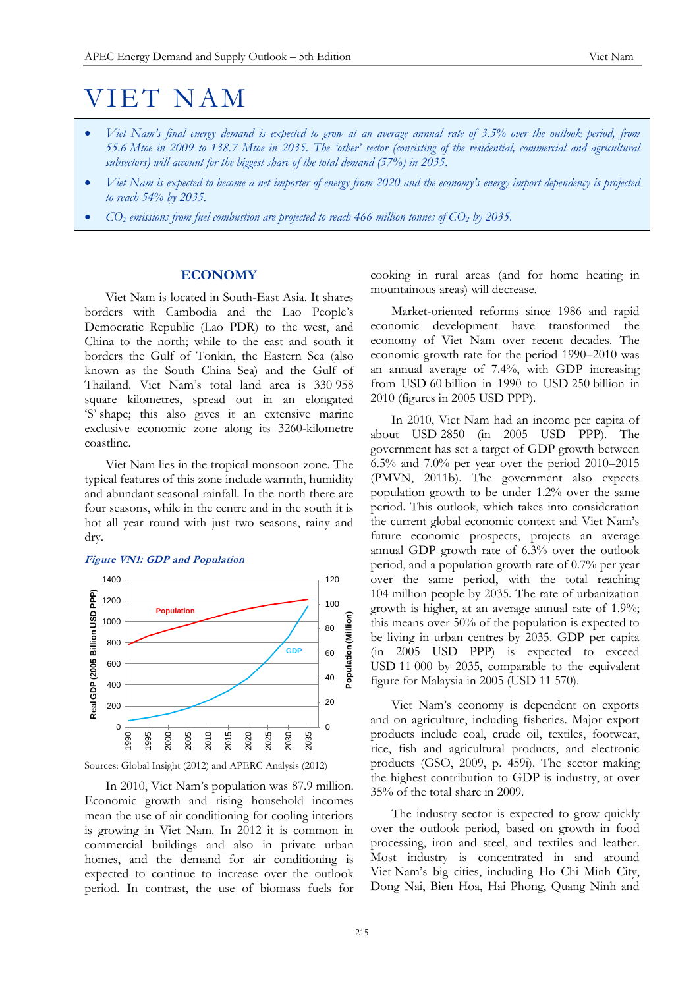# VIET NAM

- *Viet Nam's final energy demand is expected to grow at an average annual rate of 3.5% over the outlook period, from 55.6 Mtoe in 2009 to 138.7 Mtoe in 2035. The 'other' sector (consisting of the residential, commercial and agricultural subsectors) will account for the biggest share of the total demand (57%) in 2035.*
- *Viet Nam is expected to become a net importer of energy from 2020 and the economy's energy import dependency is projected to reach 54% by 2035.*
- *CO<sup>2</sup> emissions from fuel combustion are projected to reach 466 million tonnes of CO<sup>2</sup> by 2035.*

# **ECONOMY**

Viet Nam is located in South-East Asia. It shares borders with Cambodia and the Lao People's Democratic Republic (Lao PDR) to the west, and China to the north; while to the east and south it borders the Gulf of Tonkin, the Eastern Sea (also known as the South China Sea) and the Gulf of Thailand. Viet Nam's total land area is 330 958 square kilometres, spread out in an elongated 'S' shape; this also gives it an extensive marine exclusive economic zone along its 3260-kilometre coastline.

Viet Nam lies in the tropical monsoon zone. The typical features of this zone include warmth, humidity and abundant seasonal rainfall. In the north there are four seasons, while in the centre and in the south it is hot all year round with just two seasons, rainy and dry.

# **Figure VN1: GDP and Population**



Sources: Global Insight (2012) and APERC Analysis (2012)

In 2010, Viet Nam's population was 87.9 million. Economic growth and rising household incomes mean the use of air conditioning for cooling interiors is growing in Viet Nam. In 2012 it is common in commercial buildings and also in private urban homes, and the demand for air conditioning is expected to continue to increase over the outlook period. In contrast, the use of biomass fuels for

cooking in rural areas (and for home heating in mountainous areas) will decrease.

Market-oriented reforms since 1986 and rapid economic development have transformed the economy of Viet Nam over recent decades. The economic growth rate for the period 1990–2010 was an annual average of 7.4%, with GDP increasing from USD 60 billion in 1990 to USD 250 billion in 2010 (figures in 2005 USD PPP).

In 2010, Viet Nam had an income per capita of about USD 2850 (in 2005 USD PPP). The government has set a target of GDP growth between 6.5% and 7.0% per year over the period 2010–2015 (PMVN, 2011b). The government also expects population growth to be under 1.2% over the same period. This outlook, which takes into consideration the current global economic context and Viet Nam's future economic prospects, projects an average annual GDP growth rate of 6.3% over the outlook period, and a population growth rate of 0.7% per year over the same period, with the total reaching 104 million people by 2035. The rate of urbanization growth is higher, at an average annual rate of 1.9%; this means over 50% of the population is expected to be living in urban centres by 2035. GDP per capita (in 2005 USD PPP) is expected to exceed USD 11 000 by 2035, comparable to the equivalent figure for Malaysia in 2005 (USD 11 570).

Viet Nam's economy is dependent on exports and on agriculture, including fisheries. Major export products include coal, crude oil, textiles, footwear, rice, fish and agricultural products, and electronic products (GSO, 2009, p. 459i). The sector making the highest contribution to GDP is industry, at over 35% of the total share in 2009.

The industry sector is expected to grow quickly over the outlook period, based on growth in food processing, iron and steel, and textiles and leather. Most industry is concentrated in and around Viet Nam's big cities, including Ho Chi Minh City, Dong Nai, Bien Hoa, Hai Phong, Quang Ninh and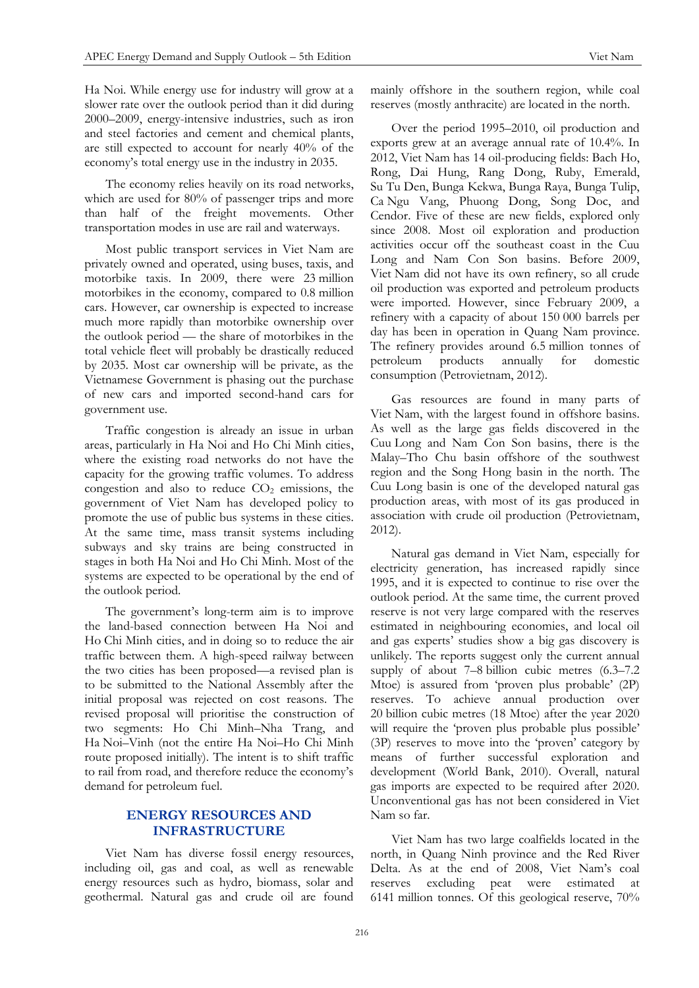Ha Noi. While energy use for industry will grow at a slower rate over the outlook period than it did during 2000–2009, energy-intensive industries, such as iron and steel factories and cement and chemical plants, are still expected to account for nearly 40% of the economy's total energy use in the industry in 2035.

The economy relies heavily on its road networks, which are used for 80% of passenger trips and more than half of the freight movements. Other transportation modes in use are rail and waterways.

Most public transport services in Viet Nam are privately owned and operated, using buses, taxis, and motorbike taxis. In 2009, there were 23 million motorbikes in the economy, compared to 0.8 million cars. However, car ownership is expected to increase much more rapidly than motorbike ownership over the outlook period — the share of motorbikes in the total vehicle fleet will probably be drastically reduced by 2035. Most car ownership will be private, as the Vietnamese Government is phasing out the purchase of new cars and imported second-hand cars for government use.

Traffic congestion is already an issue in urban areas, particularly in Ha Noi and Ho Chi Minh cities, where the existing road networks do not have the capacity for the growing traffic volumes. To address congestion and also to reduce  $CO<sub>2</sub>$  emissions, the government of Viet Nam has developed policy to promote the use of public bus systems in these cities. At the same time, mass transit systems including subways and sky trains are being constructed in stages in both Ha Noi and Ho Chi Minh. Most of the systems are expected to be operational by the end of the outlook period.

The government's long-term aim is to improve the land-based connection between Ha Noi and Ho Chi Minh cities, and in doing so to reduce the air traffic between them. A high-speed railway between the two cities has been proposed—a revised plan is to be submitted to the National Assembly after the initial proposal was rejected on cost reasons. The revised proposal will prioritise the construction of two segments: Ho Chi Minh–Nha Trang, and Ha Noi–Vinh (not the entire Ha Noi–Ho Chi Minh route proposed initially). The intent is to shift traffic to rail from road, and therefore reduce the economy's demand for petroleum fuel.

# **ENERGY RESOURCES AND INFRASTRUCTURE**

Viet Nam has diverse fossil energy resources, including oil, gas and coal, as well as renewable energy resources such as hydro, biomass, solar and geothermal. Natural gas and crude oil are found mainly offshore in the southern region, while coal reserves (mostly anthracite) are located in the north.

Over the period 1995–2010, oil production and exports grew at an average annual rate of 10.4%. In 2012, Viet Nam has 14 oil-producing fields: Bach Ho, Rong, Dai Hung, Rang Dong, Ruby, Emerald, Su Tu Den, Bunga Kekwa, Bunga Raya, Bunga Tulip, Ca Ngu Vang, Phuong Dong, Song Doc, and Cendor. Five of these are new fields, explored only since 2008. Most oil exploration and production activities occur off the southeast coast in the Cuu Long and Nam Con Son basins. Before 2009, Viet Nam did not have its own refinery, so all crude oil production was exported and petroleum products were imported. However, since February 2009, a refinery with a capacity of about 150 000 barrels per day has been in operation in Quang Nam province. The refinery provides around 6.5 million tonnes of petroleum products annually for domestic consumption (Petrovietnam, 2012).

Gas resources are found in many parts of Viet Nam, with the largest found in offshore basins. As well as the large gas fields discovered in the Cuu Long and Nam Con Son basins, there is the Malay–Tho Chu basin offshore of the southwest region and the Song Hong basin in the north. The Cuu Long basin is one of the developed natural gas production areas, with most of its gas produced in association with crude oil production (Petrovietnam, 2012).

Natural gas demand in Viet Nam, especially for electricity generation, has increased rapidly since 1995, and it is expected to continue to rise over the outlook period. At the same time, the current proved reserve is not very large compared with the reserves estimated in neighbouring economies, and local oil and gas experts' studies show a big gas discovery is unlikely. The reports suggest only the current annual supply of about 7–8 billion cubic metres (6.3–7.2 Mtoe) is assured from 'proven plus probable' (2P) reserves. To achieve annual production over 20 billion cubic metres (18 Mtoe) after the year 2020 will require the 'proven plus probable plus possible' (3P) reserves to move into the 'proven' category by means of further successful exploration and development (World Bank, 2010). Overall, natural gas imports are expected to be required after 2020. Unconventional gas has not been considered in Viet Nam so far.

Viet Nam has two large coalfields located in the north, in Quang Ninh province and the Red River Delta. As at the end of 2008, Viet Nam's coal reserves excluding peat were estimated at 6141 million tonnes. Of this geological reserve, 70%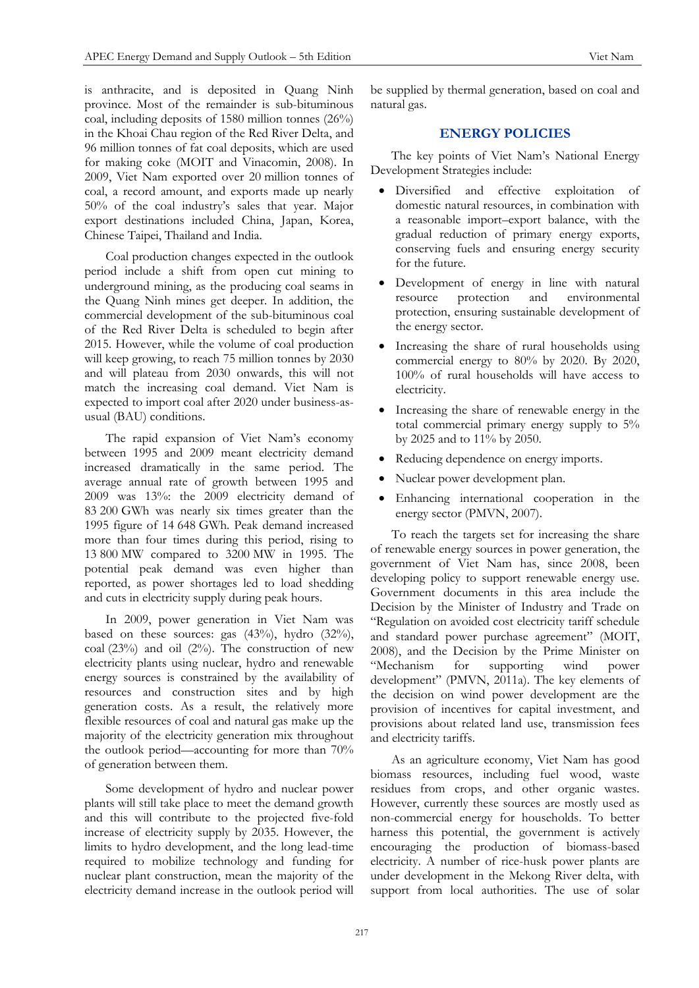is anthracite, and is deposited in Quang Ninh province. Most of the remainder is sub-bituminous coal, including deposits of 1580 million tonnes (26%) in the Khoai Chau region of the Red River Delta, and 96 million tonnes of fat coal deposits, which are used for making coke (MOIT and Vinacomin, 2008). In 2009, Viet Nam exported over 20 million tonnes of coal, a record amount, and exports made up nearly 50% of the coal industry's sales that year. Major export destinations included China, Japan, Korea, Chinese Taipei, Thailand and India.

Coal production changes expected in the outlook period include a shift from open cut mining to underground mining, as the producing coal seams in the Quang Ninh mines get deeper. In addition, the commercial development of the sub-bituminous coal of the Red River Delta is scheduled to begin after 2015. However, while the volume of coal production will keep growing, to reach 75 million tonnes by 2030 and will plateau from 2030 onwards, this will not match the increasing coal demand. Viet Nam is expected to import coal after 2020 under business-asusual (BAU) conditions.

The rapid expansion of Viet Nam's economy between 1995 and 2009 meant electricity demand increased dramatically in the same period. The average annual rate of growth between 1995 and 2009 was 13%: the 2009 electricity demand of 83 200 GWh was nearly six times greater than the 1995 figure of 14 648 GWh. Peak demand increased more than four times during this period, rising to 13 800 MW compared to 3200 MW in 1995. The potential peak demand was even higher than reported, as power shortages led to load shedding and cuts in electricity supply during peak hours.

In 2009, power generation in Viet Nam was based on these sources: gas (43%), hydro (32%), coal (23%) and oil (2%). The construction of new electricity plants using nuclear, hydro and renewable energy sources is constrained by the availability of resources and construction sites and by high generation costs. As a result, the relatively more flexible resources of coal and natural gas make up the majority of the electricity generation mix throughout the outlook period—accounting for more than 70% of generation between them.

Some development of hydro and nuclear power plants will still take place to meet the demand growth and this will contribute to the projected five-fold increase of electricity supply by 2035. However, the limits to hydro development, and the long lead-time required to mobilize technology and funding for nuclear plant construction, mean the majority of the electricity demand increase in the outlook period will be supplied by thermal generation, based on coal and natural gas.

# **ENERGY POLICIES**

The key points of Viet Nam's National Energy Development Strategies include:

- Diversified and effective exploitation of domestic natural resources, in combination with a reasonable import–export balance, with the gradual reduction of primary energy exports, conserving fuels and ensuring energy security for the future.
- Development of energy in line with natural resource protection and environmental protection, ensuring sustainable development of the energy sector.
- Increasing the share of rural households using commercial energy to 80% by 2020. By 2020, 100% of rural households will have access to electricity.
- Increasing the share of renewable energy in the total commercial primary energy supply to 5% by 2025 and to 11% by 2050.
- Reducing dependence on energy imports.
- Nuclear power development plan.
- Enhancing international cooperation in the energy sector (PMVN, 2007).

To reach the targets set for increasing the share of renewable energy sources in power generation, the government of Viet Nam has, since 2008, been developing policy to support renewable energy use. Government documents in this area include the Decision by the Minister of Industry and Trade on "Regulation on avoided cost electricity tariff schedule and standard power purchase agreement" (MOIT, 2008), and the Decision by the Prime Minister on "Mechanism for supporting wind power development" (PMVN, 2011a). The key elements of the decision on wind power development are the provision of incentives for capital investment, and provisions about related land use, transmission fees and electricity tariffs.

As an agriculture economy, Viet Nam has good biomass resources, including fuel wood, waste residues from crops, and other organic wastes. However, currently these sources are mostly used as non-commercial energy for households. To better harness this potential, the government is actively encouraging the production of biomass-based electricity. A number of rice-husk power plants are under development in the Mekong River delta, with support from local authorities. The use of solar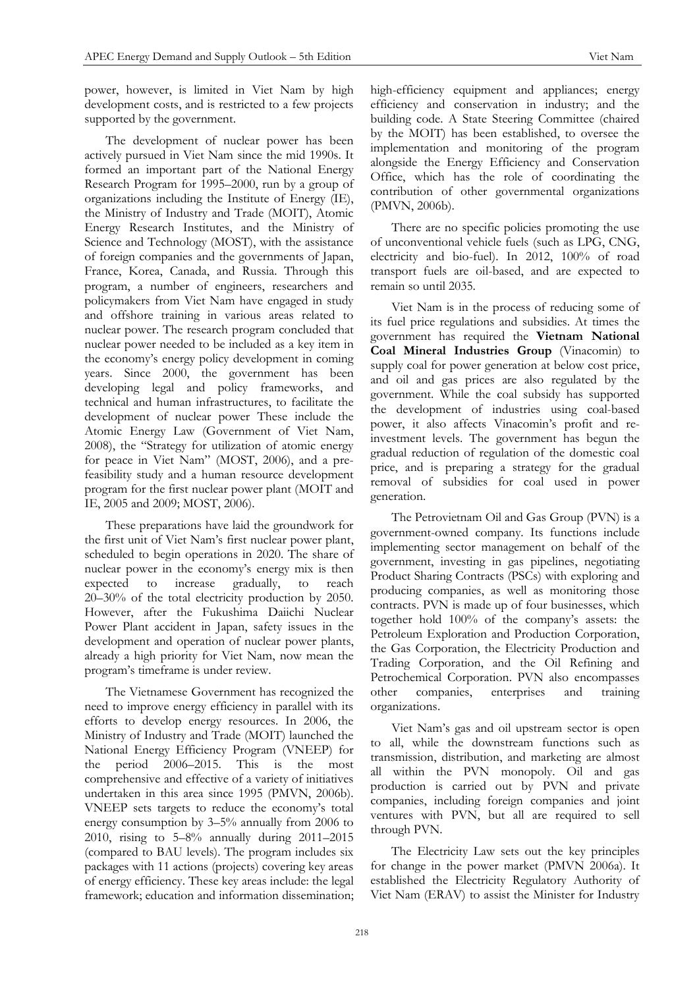power, however, is limited in Viet Nam by high development costs, and is restricted to a few projects supported by the government.

The development of nuclear power has been actively pursued in Viet Nam since the mid 1990s. It formed an important part of the National Energy Research Program for 1995–2000, run by a group of organizations including the Institute of Energy (IE), the Ministry of Industry and Trade (MOIT), Atomic Energy Research Institutes, and the Ministry of Science and Technology (MOST), with the assistance of foreign companies and the governments of Japan, France, Korea, Canada, and Russia. Through this program, a number of engineers, researchers and policymakers from Viet Nam have engaged in study and offshore training in various areas related to nuclear power. The research program concluded that nuclear power needed to be included as a key item in the economy's energy policy development in coming years. Since 2000, the government has been developing legal and policy frameworks, and technical and human infrastructures, to facilitate the development of nuclear power These include the Atomic Energy Law (Government of Viet Nam, 2008), the "Strategy for utilization of atomic energy for peace in Viet Nam" (MOST, 2006), and a prefeasibility study and a human resource development program for the first nuclear power plant (MOIT and IE, 2005 and 2009; MOST, 2006).

These preparations have laid the groundwork for the first unit of Viet Nam's first nuclear power plant, scheduled to begin operations in 2020. The share of nuclear power in the economy's energy mix is then expected to increase gradually, to reach 20–30% of the total electricity production by 2050. However, after the Fukushima Daiichi Nuclear Power Plant accident in Japan, safety issues in the development and operation of nuclear power plants, already a high priority for Viet Nam, now mean the program's timeframe is under review.

The Vietnamese Government has recognized the need to improve energy efficiency in parallel with its efforts to develop energy resources. In 2006, the Ministry of Industry and Trade (MOIT) launched the National Energy Efficiency Program (VNEEP) for the period 2006–2015. This is the most comprehensive and effective of a variety of initiatives undertaken in this area since 1995 (PMVN, 2006b). VNEEP sets targets to reduce the economy's total energy consumption by 3–5% annually from 2006 to 2010, rising to 5–8% annually during 2011–2015 (compared to BAU levels). The program includes six packages with 11 actions (projects) covering key areas of energy efficiency. These key areas include: the legal framework; education and information dissemination; high-efficiency equipment and appliances; energy efficiency and conservation in industry; and the building code. A State Steering Committee (chaired by the MOIT) has been established, to oversee the implementation and monitoring of the program alongside the Energy Efficiency and Conservation Office, which has the role of coordinating the contribution of other governmental organizations (PMVN, 2006b).

There are no specific policies promoting the use of unconventional vehicle fuels (such as LPG, CNG, electricity and bio-fuel). In 2012, 100% of road transport fuels are oil-based, and are expected to remain so until 2035.

Viet Nam is in the process of reducing some of its fuel price regulations and subsidies. At times the government has required the **Vietnam National Coal Mineral Industries Group** (Vinacomin) to supply coal for power generation at below cost price, and oil and gas prices are also regulated by the government. While the coal subsidy has supported the development of industries using coal-based power, it also affects Vinacomin's profit and reinvestment levels. The government has begun the gradual reduction of regulation of the domestic coal price, and is preparing a strategy for the gradual removal of subsidies for coal used in power generation.

The Petrovietnam Oil and Gas Group (PVN) is a government-owned company. Its functions include implementing sector management on behalf of the government, investing in gas pipelines, negotiating Product Sharing Contracts (PSCs) with exploring and producing companies, as well as monitoring those contracts. PVN is made up of four businesses, which together hold 100% of the company's assets: the Petroleum Exploration and Production Corporation, the Gas Corporation, the Electricity Production and Trading Corporation, and the Oil Refining and Petrochemical Corporation. PVN also encompasses other companies, enterprises and training organizations.

Viet Nam's gas and oil upstream sector is open to all, while the downstream functions such as transmission, distribution, and marketing are almost all within the PVN monopoly. Oil and gas production is carried out by PVN and private companies, including foreign companies and joint ventures with PVN, but all are required to sell through PVN.

The Electricity Law sets out the key principles for change in the power market (PMVN 2006a). It established the Electricity Regulatory Authority of Viet Nam (ERAV) to assist the Minister for Industry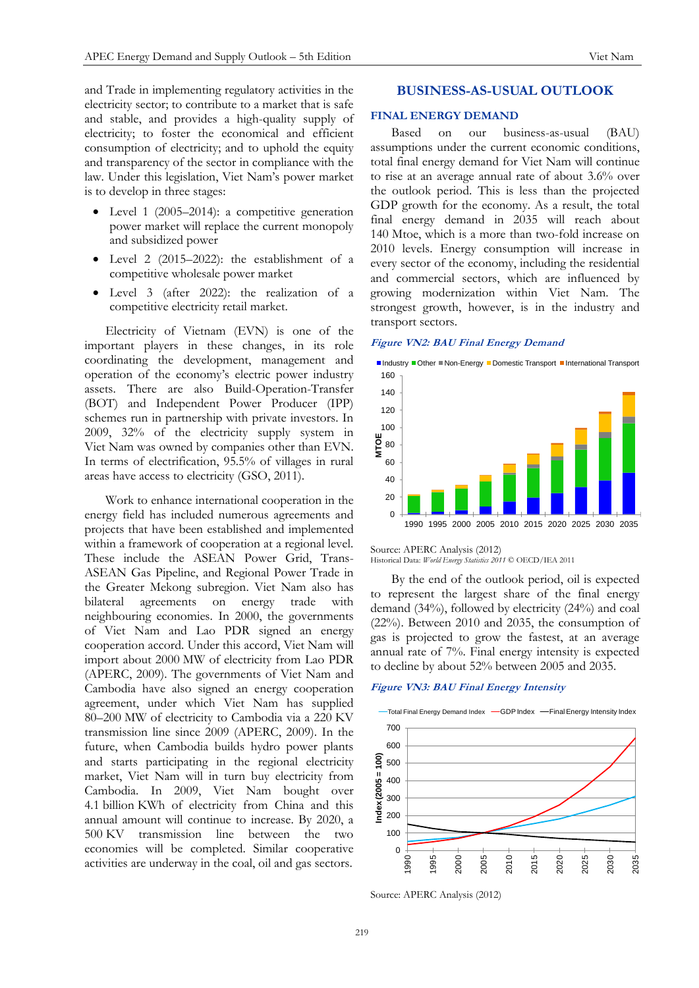and Trade in implementing regulatory activities in the electricity sector; to contribute to a market that is safe and stable, and provides a high-quality supply of electricity; to foster the economical and efficient consumption of electricity; and to uphold the equity and transparency of the sector in compliance with the law. Under this legislation, Viet Nam's power market is to develop in three stages:

- Level 1 (2005–2014): a competitive generation power market will replace the current monopoly and subsidized power
- Level 2 (2015–2022): the establishment of a competitive wholesale power market
- Level 3 (after 2022): the realization of a competitive electricity retail market.

Electricity of Vietnam (EVN) is one of the important players in these changes, in its role coordinating the development, management and operation of the economy's electric power industry assets. There are also Build-Operation-Transfer (BOT) and Independent Power Producer (IPP) schemes run in partnership with private investors. In 2009, 32% of the electricity supply system in Viet Nam was owned by companies other than EVN. In terms of electrification, 95.5% of villages in rural areas have access to electricity (GSO, 2011).

Work to enhance international cooperation in the energy field has included numerous agreements and projects that have been established and implemented within a framework of cooperation at a regional level. These include the ASEAN Power Grid, Trans-ASEAN Gas Pipeline, and Regional Power Trade in the Greater Mekong subregion. Viet Nam also has bilateral agreements on energy trade with neighbouring economies. In 2000, the governments of Viet Nam and Lao PDR signed an energy cooperation accord. Under this accord, Viet Nam will import about 2000 MW of electricity from Lao PDR (APERC, 2009). The governments of Viet Nam and Cambodia have also signed an energy cooperation agreement, under which Viet Nam has supplied 80–200 MW of electricity to Cambodia via a 220 KV transmission line since 2009 (APERC, 2009). In the future, when Cambodia builds hydro power plants and starts participating in the regional electricity market, Viet Nam will in turn buy electricity from Cambodia. In 2009, Viet Nam bought over 4.1 billion KWh of electricity from China and this annual amount will continue to increase. By 2020, a 500 KV transmission line between the two economies will be completed. Similar cooperative activities are underway in the coal, oil and gas sectors.

# **BUSINESS-AS-USUAL OUTLOOK**

#### **FINAL ENERGY DEMAND**

Based on our business-as-usual (BAU) assumptions under the current economic conditions, total final energy demand for Viet Nam will continue to rise at an average annual rate of about 3.6% over the outlook period. This is less than the projected GDP growth for the economy. As a result, the total final energy demand in 2035 will reach about 140 Mtoe, which is a more than two-fold increase on 2010 levels. Energy consumption will increase in every sector of the economy, including the residential and commercial sectors, which are influenced by growing modernization within Viet Nam. The strongest growth, however, is in the industry and transport sectors.

## **Figure VN2: BAU Final Energy Demand**



Source: APERC Analysis (2012)

Historical Data: *World Energy Statistics 2011* © OECD/IEA 2011

By the end of the outlook period, oil is expected to represent the largest share of the final energy demand (34%), followed by electricity (24%) and coal (22%). Between 2010 and 2035, the consumption of gas is projected to grow the fastest, at an average annual rate of 7%. Final energy intensity is expected to decline by about 52% between 2005 and 2035.

#### **Figure VN3: BAU Final Energy Intensity**



Source: APERC Analysis (2012)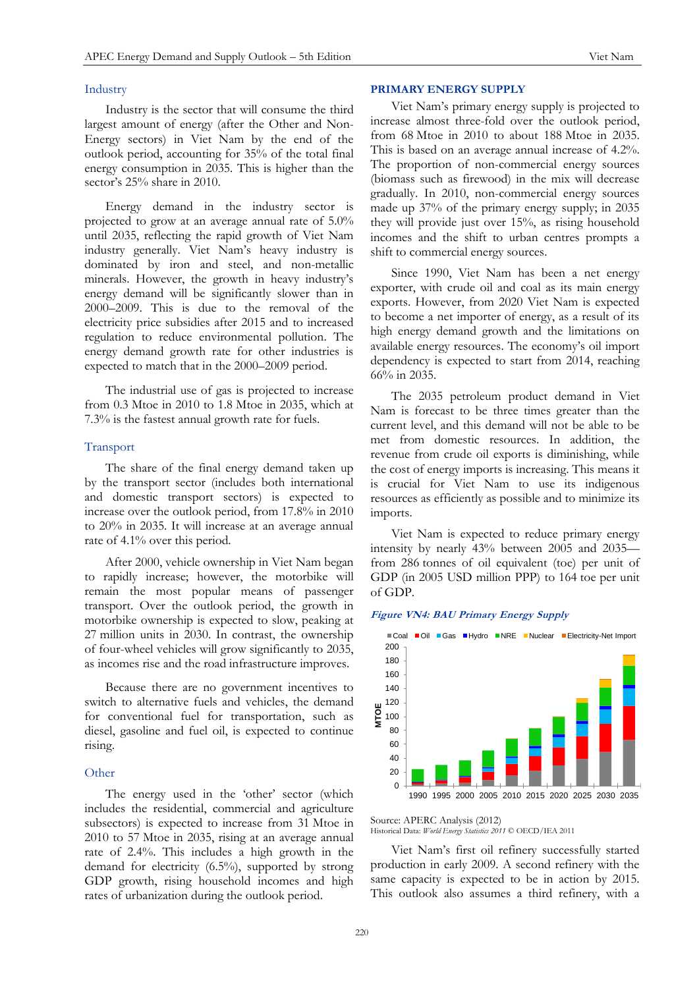## Industry

Industry is the sector that will consume the third largest amount of energy (after the Other and Non-Energy sectors) in Viet Nam by the end of the outlook period, accounting for 35% of the total final energy consumption in 2035. This is higher than the sector's 25% share in 2010.

Energy demand in the industry sector is projected to grow at an average annual rate of 5.0% until 2035, reflecting the rapid growth of Viet Nam industry generally. Viet Nam's heavy industry is dominated by iron and steel, and non-metallic minerals. However, the growth in heavy industry's energy demand will be significantly slower than in 2000–2009. This is due to the removal of the electricity price subsidies after 2015 and to increased regulation to reduce environmental pollution. The energy demand growth rate for other industries is expected to match that in the 2000–2009 period.

The industrial use of gas is projected to increase from 0.3 Mtoe in 2010 to 1.8 Mtoe in 2035, which at 7.3% is the fastest annual growth rate for fuels.

#### Transport

The share of the final energy demand taken up by the transport sector (includes both international and domestic transport sectors) is expected to increase over the outlook period, from 17.8% in 2010 to 20% in 2035. It will increase at an average annual rate of 4.1% over this period.

After 2000, vehicle ownership in Viet Nam began to rapidly increase; however, the motorbike will remain the most popular means of passenger transport. Over the outlook period, the growth in motorbike ownership is expected to slow, peaking at 27 million units in 2030. In contrast, the ownership of four-wheel vehicles will grow significantly to 2035, as incomes rise and the road infrastructure improves.

Because there are no government incentives to switch to alternative fuels and vehicles, the demand for conventional fuel for transportation, such as diesel, gasoline and fuel oil, is expected to continue rising.

#### **Other**

The energy used in the 'other' sector (which includes the residential, commercial and agriculture subsectors) is expected to increase from 31 Mtoe in 2010 to 57 Mtoe in 2035, rising at an average annual rate of 2.4%. This includes a high growth in the demand for electricity (6.5%), supported by strong GDP growth, rising household incomes and high rates of urbanization during the outlook period.

# **PRIMARY ENERGY SUPPLY**

Viet Nam's primary energy supply is projected to increase almost three-fold over the outlook period, from 68 Mtoe in 2010 to about 188 Mtoe in 2035. This is based on an average annual increase of 4.2%. The proportion of non-commercial energy sources (biomass such as firewood) in the mix will decrease gradually. In 2010, non-commercial energy sources made up 37% of the primary energy supply; in 2035 they will provide just over 15%, as rising household incomes and the shift to urban centres prompts a shift to commercial energy sources.

Since 1990, Viet Nam has been a net energy exporter, with crude oil and coal as its main energy exports. However, from 2020 Viet Nam is expected to become a net importer of energy, as a result of its high energy demand growth and the limitations on available energy resources. The economy's oil import dependency is expected to start from 2014, reaching 66% in 2035.

The 2035 petroleum product demand in Viet Nam is forecast to be three times greater than the current level, and this demand will not be able to be met from domestic resources. In addition, the revenue from crude oil exports is diminishing, while the cost of energy imports is increasing. This means it is crucial for Viet Nam to use its indigenous resources as efficiently as possible and to minimize its imports.

Viet Nam is expected to reduce primary energy intensity by nearly 43% between 2005 and 2035 from 286 tonnes of oil equivalent (toe) per unit of GDP (in 2005 USD million PPP) to 164 toe per unit of GDP.

#### **Figure VN4: BAU Primary Energy Supply**



Source: APERC Analysis (2012) Historical Data: *World Energy Statistics 2011* © OECD/IEA 2011

Viet Nam's first oil refinery successfully started production in early 2009. A second refinery with the same capacity is expected to be in action by 2015. This outlook also assumes a third refinery, with a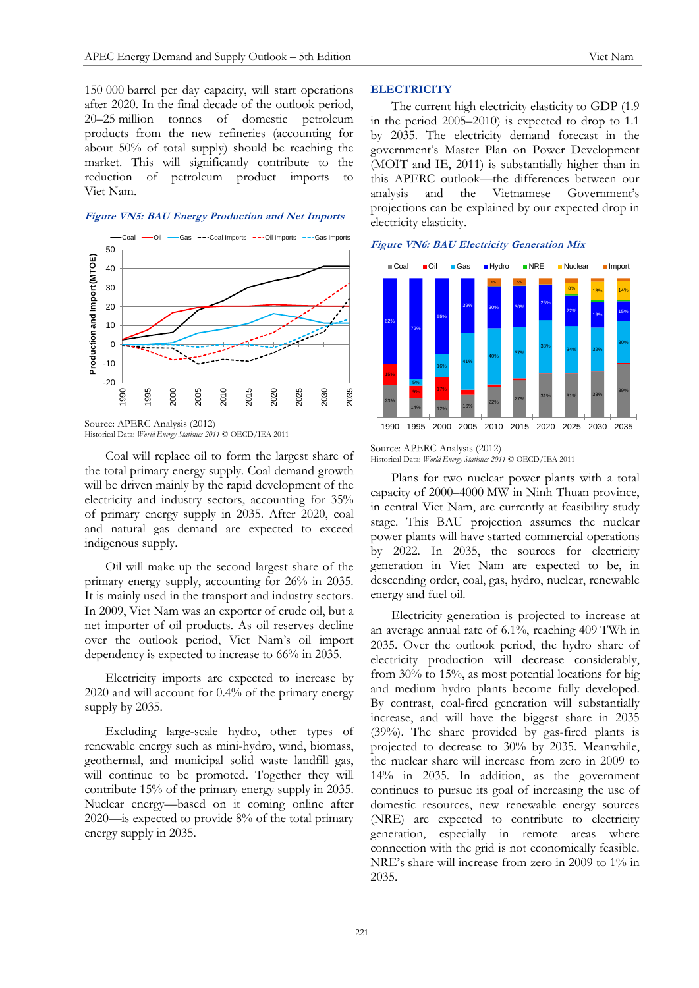150 000 barrel per day capacity, will start operations after 2020. In the final decade of the outlook period, 20–25 million tonnes of domestic petroleum products from the new refineries (accounting for about 50% of total supply) should be reaching the market. This will significantly contribute to the reduction of petroleum product imports Viet Nam.

# **Figure VN5: BAU Energy Production and Net Imports**



Source: APERC Analysis (2012) Historical Data: *World Energy Statistics 2011* © OECD/IEA 2011

Coal will replace oil to form the largest share of the total primary energy supply. Coal demand growth will be driven mainly by the rapid development of the electricity and industry sectors, accounting for 35% of primary energy supply in 2035. After 2020, coal and natural gas demand are expected to exceed indigenous supply.

Oil will make up the second largest share of the primary energy supply, accounting for 26% in 2035. It is mainly used in the transport and industry sectors. In 2009, Viet Nam was an exporter of crude oil, but a net importer of oil products. As oil reserves decline over the outlook period, Viet Nam's oil import dependency is expected to increase to 66% in 2035.

Electricity imports are expected to increase by 2020 and will account for 0.4% of the primary energy supply by 2035.

Excluding large-scale hydro, other types of renewable energy such as mini-hydro, wind, biomass, geothermal, and municipal solid waste landfill gas, will continue to be promoted. Together they will contribute 15% of the primary energy supply in 2035. Nuclear energy—based on it coming online after 2020—is expected to provide 8% of the total primary energy supply in 2035.

# **ELECTRICITY**

The current high electricity elasticity to GDP (1.9 in the period 2005–2010) is expected to drop to 1.1 by 2035. The electricity demand forecast in the government's Master Plan on Power Development (MOIT and IE, 2011) is substantially higher than in this APERC outlook—the differences between our analysis and the Vietnamese Government's projections can be explained by our expected drop in electricity elasticity.

#### **Figure VN6: BAU Electricity Generation Mix**



#### Source: APERC Analysis (2012) Historical Data: *World Energy Statistics 2011* © OECD/IEA 2011

Plans for two nuclear power plants with a total capacity of 2000–4000 MW in Ninh Thuan province, in central Viet Nam, are currently at feasibility study stage. This BAU projection assumes the nuclear power plants will have started commercial operations by 2022. In 2035, the sources for electricity generation in Viet Nam are expected to be, in descending order, coal, gas, hydro, nuclear, renewable energy and fuel oil.

Electricity generation is projected to increase at an average annual rate of 6.1%, reaching 409 TWh in 2035. Over the outlook period, the hydro share of electricity production will decrease considerably, from 30% to 15%, as most potential locations for big and medium hydro plants become fully developed. By contrast, coal-fired generation will substantially increase, and will have the biggest share in 2035 (39%). The share provided by gas-fired plants is projected to decrease to 30% by 2035. Meanwhile, the nuclear share will increase from zero in 2009 to 14% in 2035. In addition, as the government continues to pursue its goal of increasing the use of domestic resources, new renewable energy sources (NRE) are expected to contribute to electricity generation, especially in remote areas where connection with the grid is not economically feasible. NRE's share will increase from zero in 2009 to 1% in 2035.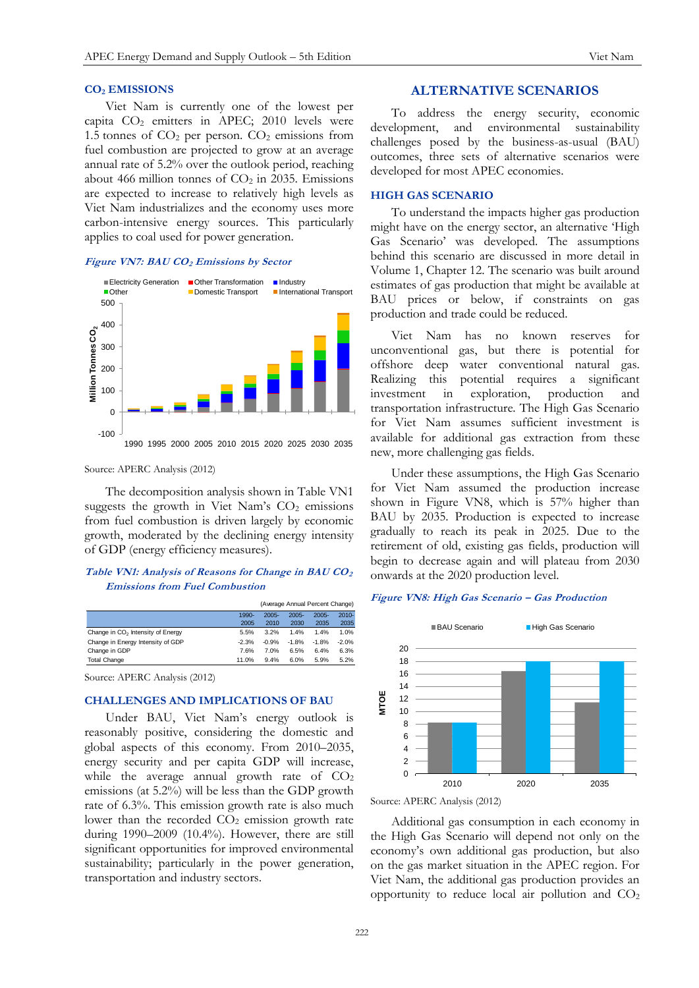#### **CO<sup>2</sup> EMISSIONS**

Viet Nam is currently one of the lowest per capita  $CO<sub>2</sub>$  emitters in APEC; 2010 levels were 1.5 tonnes of  $CO<sub>2</sub>$  per person.  $CO<sub>2</sub>$  emissions from fuel combustion are projected to grow at an average annual rate of 5.2% over the outlook period, reaching about 466 million tonnes of  $CO<sub>2</sub>$  in 2035. Emissions are expected to increase to relatively high levels as Viet Nam industrializes and the economy uses more carbon-intensive energy sources. This particularly applies to coal used for power generation.

## **Figure VN7: BAU CO<sup>2</sup> Emissions by Sector**



#### Source: APERC Analysis (2012)

The decomposition analysis shown in Table VN1 suggests the growth in Viet Nam's  $CO<sub>2</sub>$  emissions from fuel combustion is driven largely by economic growth, moderated by the declining energy intensity of GDP (energy efficiency measures).

# **Table VN1: Analysis of Reasons for Change in BAU CO<sup>2</sup> Emissions from Fuel Combustion**

|                                               | (Average Annual Percent Change) |          |          |          |          |
|-----------------------------------------------|---------------------------------|----------|----------|----------|----------|
|                                               | 1990-                           | $2005 -$ | $2005 -$ | $2005 -$ | $2010 -$ |
|                                               | 2005                            | 2010     | 2030     | 2035     | 2035     |
| Change in CO <sub>2</sub> Intensity of Energy | 5.5%                            | 3.2%     | 1.4%     | 1.4%     | 1.0%     |
| Change in Energy Intensity of GDP             | $-2.3%$                         | $-0.9%$  | $-1.8%$  | $-1.8%$  | $-2.0%$  |
| Change in GDP                                 | 7.6%                            | 7.0%     | 6.5%     | 6.4%     | 6.3%     |
| <b>Total Change</b>                           | 11.0%                           | 9.4%     | 6.0%     | 5.9%     | 5.2%     |

Source: APERC Analysis (2012)

#### **CHALLENGES AND IMPLICATIONS OF BAU**

Under BAU, Viet Nam's energy outlook is reasonably positive, considering the domestic and global aspects of this economy. From 2010–2035, energy security and per capita GDP will increase, while the average annual growth rate of  $CO<sub>2</sub>$ emissions (at 5.2%) will be less than the GDP growth rate of 6.3%. This emission growth rate is also much lower than the recorded  $CO<sub>2</sub>$  emission growth rate during 1990–2009 (10.4%). However, there are still significant opportunities for improved environmental sustainability; particularly in the power generation, transportation and industry sectors.

# **ALTERNATIVE SCENARIOS**

To address the energy security, economic development, and environmental sustainability challenges posed by the business-as-usual (BAU) outcomes, three sets of alternative scenarios were developed for most APEC economies.

## **HIGH GAS SCENARIO**

To understand the impacts higher gas production might have on the energy sector, an alternative 'High Gas Scenario' was developed. The assumptions behind this scenario are discussed in more detail in Volume 1, Chapter 12. The scenario was built around estimates of gas production that might be available at BAU prices or below, if constraints on gas production and trade could be reduced.

Viet Nam has no known reserves for unconventional gas, but there is potential for offshore deep water conventional natural gas. Realizing this potential requires a significant investment in exploration, production and transportation infrastructure. The High Gas Scenario for Viet Nam assumes sufficient investment is available for additional gas extraction from these new, more challenging gas fields.

Under these assumptions, the High Gas Scenario for Viet Nam assumed the production increase shown in Figure VN8, which is 57% higher than BAU by 2035. Production is expected to increase gradually to reach its peak in 2025. Due to the retirement of old, existing gas fields, production will begin to decrease again and will plateau from 2030 onwards at the 2020 production level.

## **Figure VN8: High Gas Scenario – Gas Production**



Source: APERC Analysis (2012)

Additional gas consumption in each economy in the High Gas Scenario will depend not only on the economy's own additional gas production, but also on the gas market situation in the APEC region. For Viet Nam, the additional gas production provides an opportunity to reduce local air pollution and  $CO<sub>2</sub>$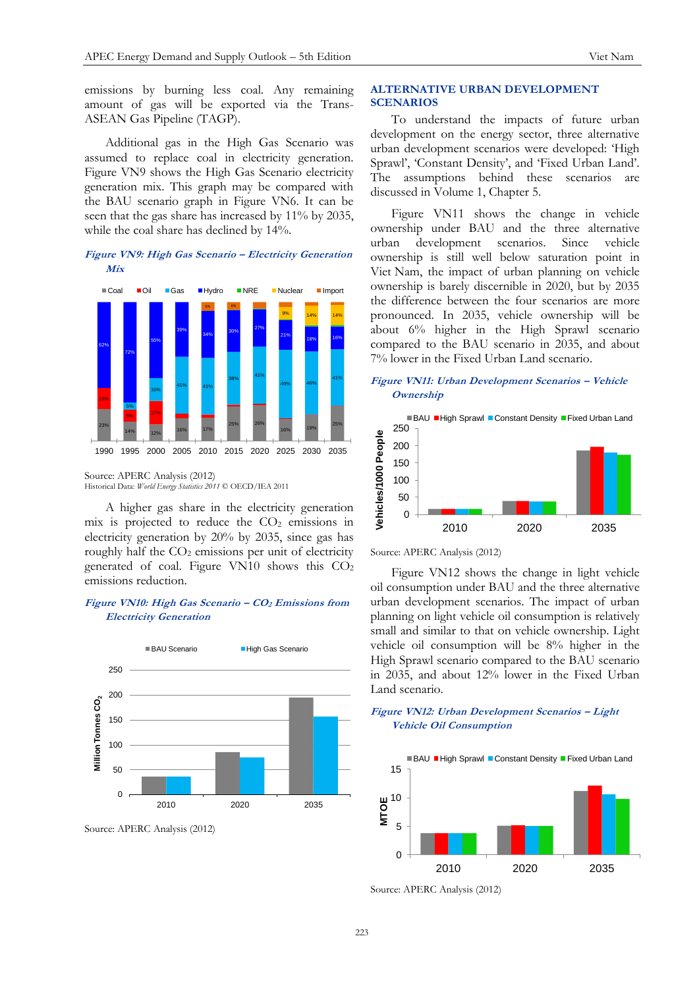emissions by burning less coal. Any remaining amount of gas will be exported via the Trans-ASEAN Gas Pipeline (TAGP).

Additional gas in the High Gas Scenario was assumed to replace coal in electricity generation. Figure VN9 shows the High Gas Scenario electricity generation mix. This graph may be compared with the BAU scenario graph in Figure VN6. It can be seen that the gas share has increased by 11% by 2035, while the coal share has declined by 14%.

# **Figure VN9: High Gas Scenario – Electricity Generation Mix**



Source: APERC Analysis (2012) Historical Data: *World Energy Statistics 2011* © OECD/IEA 2011

A higher gas share in the electricity generation mix is projected to reduce the  $CO<sub>2</sub>$  emissions in electricity generation by 20% by 2035, since gas has roughly half the  $CO<sub>2</sub>$  emissions per unit of electricity generated of coal. Figure VN10 shows this CO<sup>2</sup> emissions reduction.

# **Figure VN10: High Gas Scenario – CO<sup>2</sup> Emissions from Electricity Generation**



# **ALTERNATIVE URBAN DEVELOPMENT SCENARIOS**

To understand the impacts of future urban development on the energy sector, three alternative urban development scenarios were developed: 'High Sprawl', 'Constant Density', and 'Fixed Urban Land'. The assumptions behind these scenarios are discussed in Volume 1, Chapter 5.

Figure VN11 shows the change in vehicle ownership under BAU and the three alternative urban development scenarios. Since vehicle ownership is still well below saturation point in Viet Nam, the impact of urban planning on vehicle ownership is barely discernible in 2020, but by 2035 the difference between the four scenarios are more pronounced. In 2035, vehicle ownership will be about 6% higher in the High Sprawl scenario compared to the BAU scenario in 2035, and about 7% lower in the Fixed Urban Land scenario.

# **Figure VN11: Urban Development Scenarios – Vehicle Ownership**



Source: APERC Analysis (2012)

Figure VN12 shows the change in light vehicle oil consumption under BAU and the three alternative urban development scenarios. The impact of urban planning on light vehicle oil consumption is relatively small and similar to that on vehicle ownership. Light vehicle oil consumption will be 8% higher in the High Sprawl scenario compared to the BAU scenario in 2035, and about 12% lower in the Fixed Urban Land scenario.





Source: APERC Analysis (2012)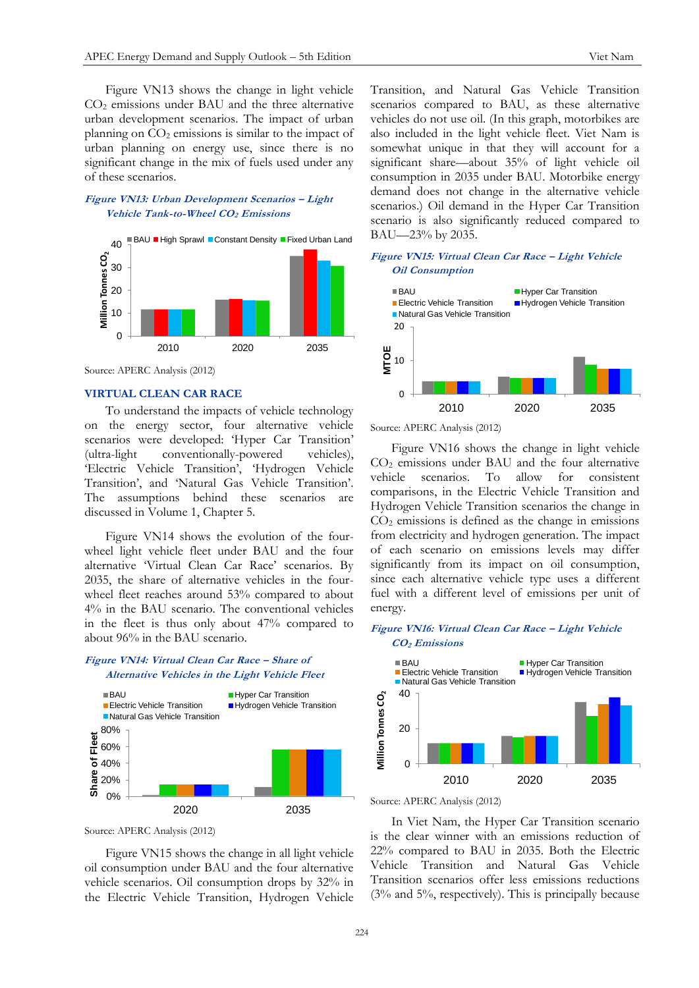Figure VN13 shows the change in light vehicle CO<sup>2</sup> emissions under BAU and the three alternative urban development scenarios. The impact of urban planning on  $CO<sub>2</sub>$  emissions is similar to the impact of urban planning on energy use, since there is no significant change in the mix of fuels used under any of these scenarios.

# **Figure VN13: Urban Development Scenarios – Light Vehicle Tank-to-Wheel CO2 Emissions**



Source: APERC Analysis (2012)

# **VIRTUAL CLEAN CAR RACE**

To understand the impacts of vehicle technology on the energy sector, four alternative vehicle scenarios were developed: 'Hyper Car Transition' (ultra-light conventionally-powered vehicles), 'Electric Vehicle Transition', 'Hydrogen Vehicle Transition', and 'Natural Gas Vehicle Transition'. The assumptions behind these scenarios are discussed in Volume 1, Chapter 5.

Figure VN14 shows the evolution of the fourwheel light vehicle fleet under BAU and the four alternative 'Virtual Clean Car Race' scenarios. By 2035, the share of alternative vehicles in the fourwheel fleet reaches around 53% compared to about 4% in the BAU scenario. The conventional vehicles in the fleet is thus only about 47% compared to about 96% in the BAU scenario.

# **Figure VN14: Virtual Clean Car Race – Share of Alternative Vehicles in the Light Vehicle Fleet**



Source: APERC Analysis (2012)

Figure VN15 shows the change in all light vehicle oil consumption under BAU and the four alternative vehicle scenarios. Oil consumption drops by 32% in the Electric Vehicle Transition, Hydrogen Vehicle Transition, and Natural Gas Vehicle Transition scenarios compared to BAU, as these alternative vehicles do not use oil. (In this graph, motorbikes are also included in the light vehicle fleet. Viet Nam is somewhat unique in that they will account for a significant share—about 35% of light vehicle oil consumption in 2035 under BAU. Motorbike energy demand does not change in the alternative vehicle scenarios.) Oil demand in the Hyper Car Transition scenario is also significantly reduced compared to BAU—23% by 2035.

# **Figure VN15: Virtual Clean Car Race – Light Vehicle Oil Consumption**



Source: APERC Analysis (2012)

Figure VN16 shows the change in light vehicle CO<sup>2</sup> emissions under BAU and the four alternative vehicle scenarios. To allow for consistent comparisons, in the Electric Vehicle Transition and Hydrogen Vehicle Transition scenarios the change in  $CO<sub>2</sub>$  emissions is defined as the change in emissions from electricity and hydrogen generation. The impact of each scenario on emissions levels may differ significantly from its impact on oil consumption, since each alternative vehicle type uses a different fuel with a different level of emissions per unit of energy.

# **Figure VN16: Virtual Clean Car Race – Light Vehicle CO2 Emissions**





In Viet Nam, the Hyper Car Transition scenario is the clear winner with an emissions reduction of 22% compared to BAU in 2035. Both the Electric Vehicle Transition and Natural Gas Vehicle Transition scenarios offer less emissions reductions (3% and 5%, respectively). This is principally because